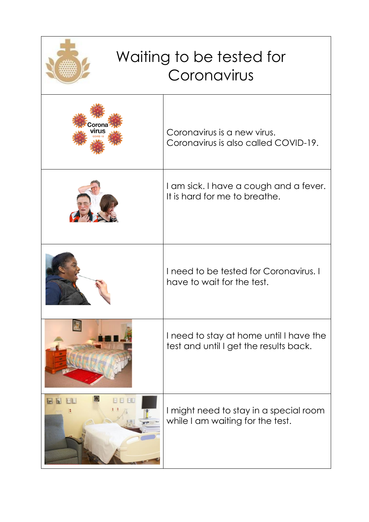| Waiting to be tested for<br>Coronavirus |                                                                                   |
|-----------------------------------------|-----------------------------------------------------------------------------------|
|                                         | Coronavirus is a new virus.<br>Coronavirus is also called COVID-19.               |
|                                         | I am sick. I have a cough and a fever.<br>It is hard for me to breathe.           |
|                                         | I need to be tested for Coronavirus. I<br>have to wait for the test.              |
|                                         | I need to stay at home until I have the<br>test and until I get the results back. |
| <b>M</b><br>$\mathbb{R}^n$<br><b>A</b>  | I might need to stay in a special room<br>while I am waiting for the test.        |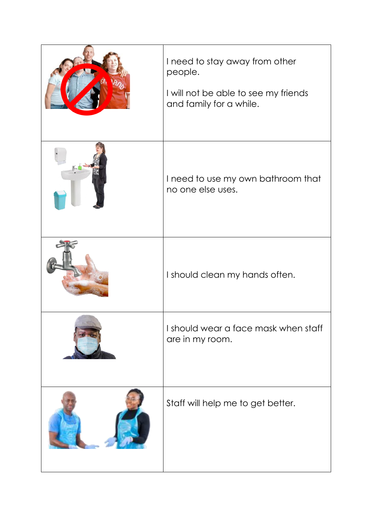| I need to stay away from other<br>people.<br>I will not be able to see my friends<br>and family for a while. |
|--------------------------------------------------------------------------------------------------------------|
| I need to use my own bathroom that<br>no one else uses.                                                      |
| I should clean my hands often.                                                                               |
| I should wear a face mask when staff<br>are in my room.                                                      |
| Staff will help me to get better.                                                                            |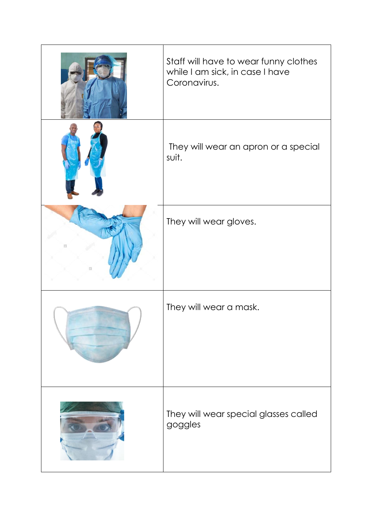|                   | Staff will have to wear funny clothes<br>while I am sick, in case I have<br>Coronavirus. |
|-------------------|------------------------------------------------------------------------------------------|
|                   | They will wear an apron or a special<br>suit.                                            |
| B<br>匪            | They will wear gloves.                                                                   |
|                   | They will wear a mask.                                                                   |
| www.programma.com | They will wear special glasses called<br>goggles                                         |